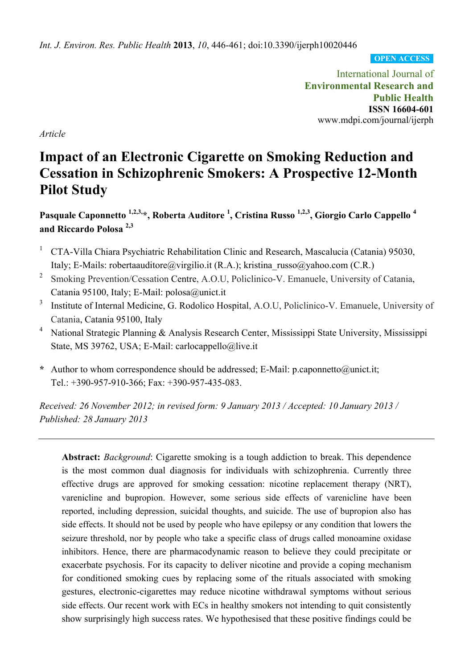*Int. J. Environ. Res. Public Health* **2013**, *10*, 446-461; doi:10.3390/ijerph10020446

**OPEN ACCESS**

International Journal of **Environmental Research and Public Health ISSN 16604-601**  www.mdpi.com/journal/ijerph

*Article* 

# **Impact of an Electronic Cigarette on Smoking Reduction and Cessation in Schizophrenic Smokers: A Prospective 12-Month Pilot Study**

**Pasquale Caponnetto 1,2,3,\*, Roberta Auditore 1 , Cristina Russo 1,2,3, Giorgio Carlo Cappello 4 and Riccardo Polosa 2,3**

- 1 CTA-Villa Chiara Psychiatric Rehabilitation Clinic and Research, Mascalucia (Catania) 95030, Italy; E-Mails: robertaauditore@virgilio.it (R.A.); kristina\_russo@yahoo.com (C.R.)
- <sup>2</sup> Smoking Prevention/Cessation Centre, A.O.U, Policlinico-V. Emanuele, University of Catania, Catania 95100, Italy; E-Mail: polosa@unict.it
- 3 Institute of Internal Medicine, G. Rodolico Hospital, A.O.U, Policlinico-V. Emanuele, University of Catania, Catania 95100, Italy
- <sup>4</sup> National Strategic Planning & Analysis Research Center, Mississippi State University, Mississippi State, MS 39762, USA; E-Mail: carlocappello@live.it
- **\*** Author to whom correspondence should be addressed; E-Mail: p.caponnetto@unict.it; Tel.: +390-957-910-366; Fax: +390-957-435-083.

*Received: 26 November 2012; in revised form: 9 January 2013 / Accepted: 10 January 2013 / Published: 28 January 2013* 

**Abstract:** *Background*: Cigarette smoking is a tough addiction to break. This dependence is the most common dual diagnosis for individuals with schizophrenia. Currently three effective drugs are approved for smoking cessation: nicotine replacement therapy (NRT), varenicline and bupropion. However, some serious side effects of varenicline have been reported, including depression, suicidal thoughts, and suicide. The use of bupropion also has side effects. It should not be used by people who have epilepsy or any condition that lowers the seizure threshold, nor by people who take a specific class of drugs called monoamine oxidase inhibitors. Hence, there are pharmacodynamic reason to believe they could precipitate or exacerbate psychosis. For its capacity to deliver nicotine and provide a coping mechanism for conditioned smoking cues by replacing some of the rituals associated with smoking gestures, electronic-cigarettes may reduce nicotine withdrawal symptoms without serious side effects. Our recent work with ECs in healthy smokers not intending to quit consistently show surprisingly high success rates. We hypothesised that these positive findings could be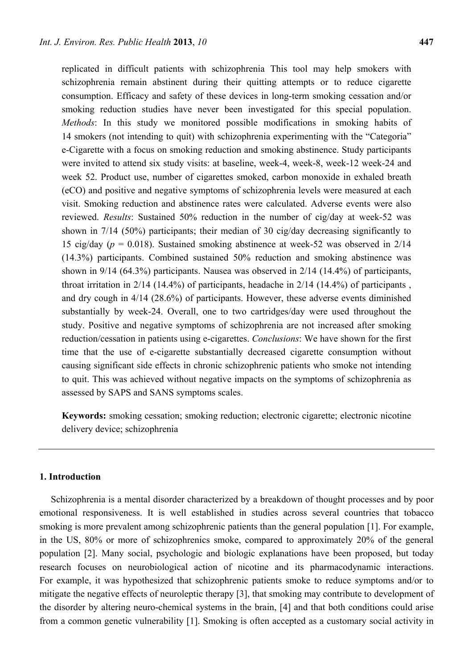replicated in difficult patients with schizophrenia This tool may help smokers with schizophrenia remain abstinent during their quitting attempts or to reduce cigarette consumption. Efficacy and safety of these devices in long-term smoking cessation and/or smoking reduction studies have never been investigated for this special population. *Methods*: In this study we monitored possible modifications in smoking habits of 14 smokers (not intending to quit) with schizophrenia experimenting with the "Categoria" e-Cigarette with a focus on smoking reduction and smoking abstinence. Study participants were invited to attend six study visits: at baseline, week-4, week-8, week-12 week-24 and week 52. Product use, number of cigarettes smoked, carbon monoxide in exhaled breath (eCO) and positive and negative symptoms of schizophrenia levels were measured at each visit. Smoking reduction and abstinence rates were calculated. Adverse events were also reviewed. *Results*: Sustained 50% reduction in the number of cig/day at week-52 was shown in 7/14 (50%) participants; their median of 30 cig/day decreasing significantly to 15 cig/day (*p* = 0.018). Sustained smoking abstinence at week-52 was observed in 2/14 (14.3%) participants. Combined sustained 50% reduction and smoking abstinence was shown in 9/14 (64.3%) participants. Nausea was observed in 2/14 (14.4%) of participants, throat irritation in 2/14 (14.4%) of participants, headache in 2/14 (14.4%) of participants , and dry cough in 4/14 (28.6%) of participants. However, these adverse events diminished substantially by week-24. Overall, one to two cartridges/day were used throughout the study. Positive and negative symptoms of schizophrenia are not increased after smoking reduction/cessation in patients using e-cigarettes. *Conclusions*: We have shown for the first time that the use of e-cigarette substantially decreased cigarette consumption without causing significant side effects in chronic schizophrenic patients who smoke not intending to quit. This was achieved without negative impacts on the symptoms of schizophrenia as assessed by SAPS and SANS symptoms scales.

**Keywords:** smoking cessation; smoking reduction; electronic cigarette; electronic nicotine delivery device; schizophrenia

# **1. Introduction**

Schizophrenia is a mental disorder characterized by a breakdown of thought processes and by poor emotional responsiveness. It is well established in studies across several countries that tobacco smoking is more prevalent among schizophrenic patients than the general population [1]. For example, in the US, 80% or more of schizophrenics smoke, compared to approximately 20% of the general population [2]. Many social, psychologic and biologic explanations have been proposed, but today research focuses on neurobiological action of nicotine and its pharmacodynamic interactions. For example, it was hypothesized that schizophrenic patients smoke to reduce symptoms and/or to mitigate the negative effects of neuroleptic therapy [3], that smoking may contribute to development of the disorder by altering neuro-chemical systems in the brain, [4] and that both conditions could arise from a common genetic vulnerability [1]. Smoking is often accepted as a customary social activity in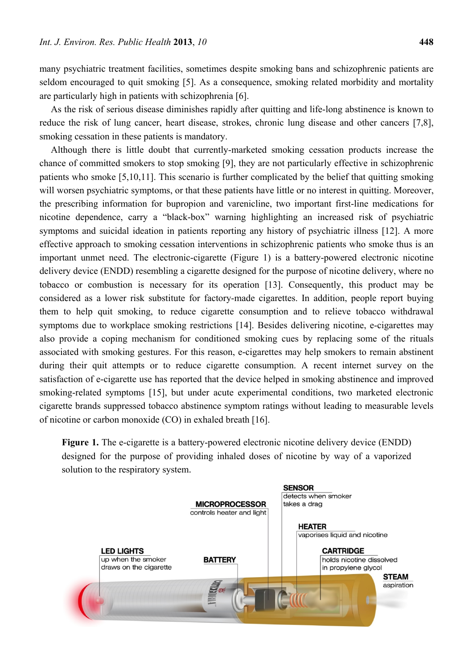many psychiatric treatment facilities, sometimes despite smoking bans and schizophrenic patients are seldom encouraged to quit smoking [5]. As a consequence, smoking related morbidity and mortality are particularly high in patients with schizophrenia [6].

As the risk of serious disease diminishes rapidly after quitting and life-long abstinence is known to reduce the risk of lung cancer, heart disease, strokes, chronic lung disease and other cancers [7,8], smoking cessation in these patients is mandatory.

Although there is little doubt that currently-marketed smoking cessation products increase the chance of committed smokers to stop smoking [9], they are not particularly effective in schizophrenic patients who smoke [5,10,11]. This scenario is further complicated by the belief that quitting smoking will worsen psychiatric symptoms, or that these patients have little or no interest in quitting. Moreover, the prescribing information for bupropion and varenicline, two important first-line medications for nicotine dependence, carry a "black-box" warning highlighting an increased risk of psychiatric symptoms and suicidal ideation in patients reporting any history of psychiatric illness [12]. A more effective approach to smoking cessation interventions in schizophrenic patients who smoke thus is an important unmet need. The electronic-cigarette (Figure 1) is a battery-powered electronic nicotine delivery device (ENDD) resembling a cigarette designed for the purpose of nicotine delivery, where no tobacco or combustion is necessary for its operation [13]. Consequently, this product may be considered as a lower risk substitute for factory-made cigarettes. In addition, people report buying them to help quit smoking, to reduce cigarette consumption and to relieve tobacco withdrawal symptoms due to workplace smoking restrictions [14]. Besides delivering nicotine, e-cigarettes may also provide a coping mechanism for conditioned smoking cues by replacing some of the rituals associated with smoking gestures. For this reason, e-cigarettes may help smokers to remain abstinent during their quit attempts or to reduce cigarette consumption. A recent internet survey on the satisfaction of e-cigarette use has reported that the device helped in smoking abstinence and improved smoking-related symptoms [15], but under acute experimental conditions, two marketed electronic cigarette brands suppressed tobacco abstinence symptom ratings without leading to measurable levels of nicotine or carbon monoxide (CO) in exhaled breath [16].

**Figure 1.** The e-cigarette is a battery-powered electronic nicotine delivery device (ENDD) designed for the purpose of providing inhaled doses of nicotine by way of a vaporized solution to the respiratory system.

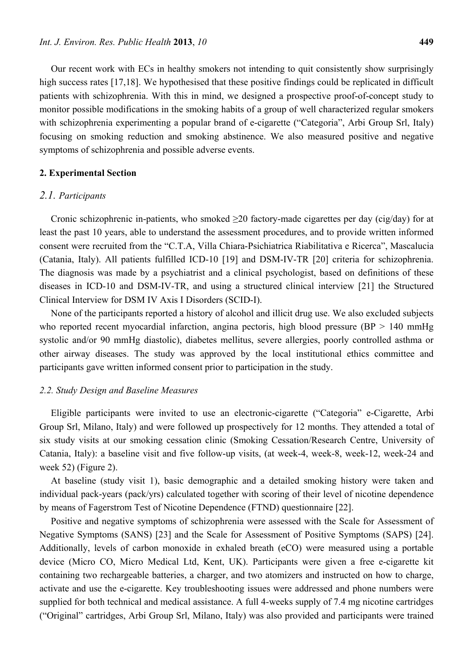Our recent work with ECs in healthy smokers not intending to quit consistently show surprisingly high success rates [17,18]. We hypothesised that these positive findings could be replicated in difficult patients with schizophrenia. With this in mind, we designed a prospective proof-of-concept study to monitor possible modifications in the smoking habits of a group of well characterized regular smokers with schizophrenia experimenting a popular brand of e-cigarette ("Categoria", Arbi Group Srl, Italy) focusing on smoking reduction and smoking abstinence. We also measured positive and negative symptoms of schizophrenia and possible adverse events.

#### **2. Experimental Section**

#### *2.1. Participants*

Cronic schizophrenic in-patients, who smoked  $\geq$ 20 factory-made cigarettes per day (cig/day) for at least the past 10 years, able to understand the assessment procedures, and to provide written informed consent were recruited from the "C.T.A, Villa Chiara-Psichiatrica Riabilitativa e Ricerca", Mascalucia (Catania, Italy). All patients fulfilled ICD-10 [19] and DSM-IV-TR [20] criteria for schizophrenia. The diagnosis was made by a psychiatrist and a clinical psychologist, based on definitions of these diseases in ICD-10 and DSM-IV-TR, and using a structured clinical interview [21] the Structured Clinical Interview for DSM IV Axis I Disorders (SCID-I).

None of the participants reported a history of alcohol and illicit drug use. We also excluded subjects who reported recent myocardial infarction, angina pectoris, high blood pressure ( $BP > 140$  mmHg systolic and/or 90 mmHg diastolic), diabetes mellitus, severe allergies, poorly controlled asthma or other airway diseases. The study was approved by the local institutional ethics committee and participants gave written informed consent prior to participation in the study.

# *2.2. Study Design and Baseline Measures*

Eligible participants were invited to use an electronic-cigarette ("Categoria" e-Cigarette, Arbi Group Srl, Milano, Italy) and were followed up prospectively for 12 months. They attended a total of six study visits at our smoking cessation clinic (Smoking Cessation/Research Centre, University of Catania, Italy): a baseline visit and five follow-up visits, (at week-4, week-8, week-12, week-24 and week 52) (Figure 2).

At baseline (study visit 1), basic demographic and a detailed smoking history were taken and individual pack-years (pack/yrs) calculated together with scoring of their level of nicotine dependence by means of Fagerstrom Test of Nicotine Dependence (FTND) questionnaire [22].

Positive and negative symptoms of schizophrenia were assessed with the Scale for Assessment of Negative Symptoms (SANS) [23] and the Scale for Assessment of Positive Symptoms (SAPS) [24]. Additionally, levels of carbon monoxide in exhaled breath (eCO) were measured using a portable device (Micro CO, Micro Medical Ltd, Kent, UK). Participants were given a free e-cigarette kit containing two rechargeable batteries, a charger, and two atomizers and instructed on how to charge, activate and use the e-cigarette. Key troubleshooting issues were addressed and phone numbers were supplied for both technical and medical assistance. A full 4-weeks supply of 7.4 mg nicotine cartridges ("Original" cartridges, Arbi Group Srl, Milano, Italy) was also provided and participants were trained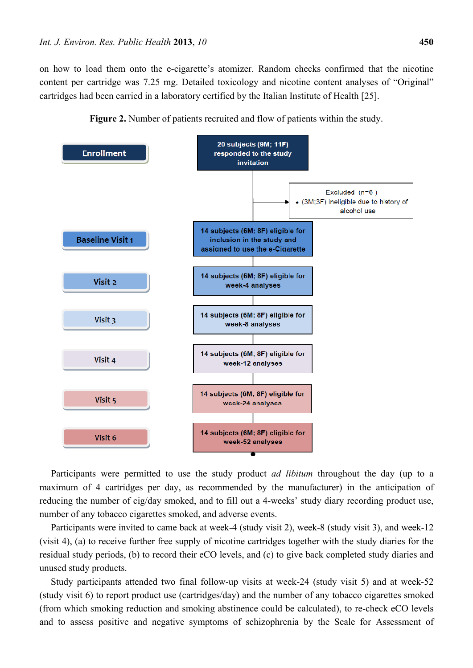on how to load them onto the e-cigarette's atomizer. Random checks confirmed that the nicotine content per cartridge was 7.25 mg. Detailed toxicology and nicotine content analyses of "Original" cartridges had been carried in a laboratory certified by the Italian Institute of Health [25].



**Figure 2.** Number of patients recruited and flow of patients within the study.

Participants were permitted to use the study product *ad libitum* throughout the day (up to a maximum of 4 cartridges per day, as recommended by the manufacturer) in the anticipation of reducing the number of cig/day smoked, and to fill out a 4-weeks' study diary recording product use, number of any tobacco cigarettes smoked, and adverse events.

Participants were invited to came back at week-4 (study visit 2), week-8 (study visit 3), and week-12 (visit 4), (a) to receive further free supply of nicotine cartridges together with the study diaries for the residual study periods, (b) to record their eCO levels, and (c) to give back completed study diaries and unused study products.

Study participants attended two final follow-up visits at week-24 (study visit 5) and at week-52 (study visit 6) to report product use (cartridges/day) and the number of any tobacco cigarettes smoked (from which smoking reduction and smoking abstinence could be calculated), to re-check eCO levels and to assess positive and negative symptoms of schizophrenia by the Scale for Assessment of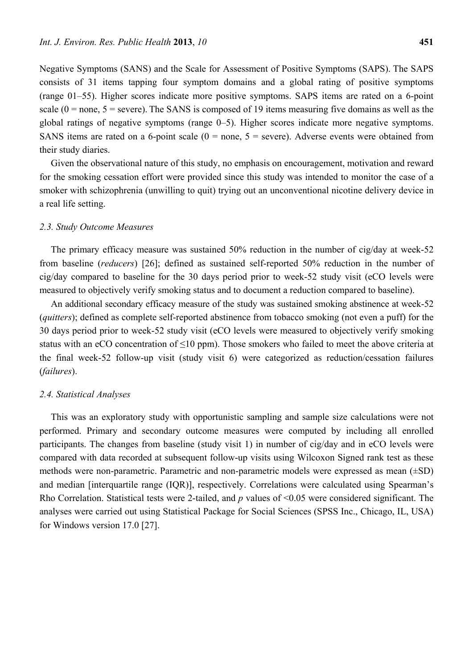Negative Symptoms (SANS) and the Scale for Assessment of Positive Symptoms (SAPS). The SAPS consists of 31 items tapping four symptom domains and a global rating of positive symptoms (range 01–55). Higher scores indicate more positive symptoms. SAPS items are rated on a 6-point scale ( $0 =$  none,  $5 =$  severe). The SANS is composed of 19 items measuring five domains as well as the global ratings of negative symptoms (range 0–5). Higher scores indicate more negative symptoms. SANS items are rated on a 6-point scale  $(0 = none, 5 = severe)$ . Adverse events were obtained from their study diaries.

Given the observational nature of this study, no emphasis on encouragement, motivation and reward for the smoking cessation effort were provided since this study was intended to monitor the case of a smoker with schizophrenia (unwilling to quit) trying out an unconventional nicotine delivery device in a real life setting.

### *2.3. Study Outcome Measures*

The primary efficacy measure was sustained 50% reduction in the number of cig/day at week-52 from baseline (*reducers*) [26]; defined as sustained self-reported 50% reduction in the number of cig/day compared to baseline for the 30 days period prior to week-52 study visit (eCO levels were measured to objectively verify smoking status and to document a reduction compared to baseline).

An additional secondary efficacy measure of the study was sustained smoking abstinence at week-52 (*quitters*); defined as complete self-reported abstinence from tobacco smoking (not even a puff) for the 30 days period prior to week-52 study visit (eCO levels were measured to objectively verify smoking status with an eCO concentration of <10 ppm). Those smokers who failed to meet the above criteria at the final week-52 follow-up visit (study visit 6) were categorized as reduction/cessation failures (*failures*).

# *2.4. Statistical Analyses*

This was an exploratory study with opportunistic sampling and sample size calculations were not performed. Primary and secondary outcome measures were computed by including all enrolled participants. The changes from baseline (study visit 1) in number of cig/day and in eCO levels were compared with data recorded at subsequent follow-up visits using Wilcoxon Signed rank test as these methods were non-parametric. Parametric and non-parametric models were expressed as mean (±SD) and median [interquartile range (IQR)], respectively. Correlations were calculated using Spearman's Rho Correlation. Statistical tests were 2-tailed, and *p* values of <0.05 were considered significant. The analyses were carried out using Statistical Package for Social Sciences (SPSS Inc., Chicago, IL, USA) for Windows version 17.0 [27].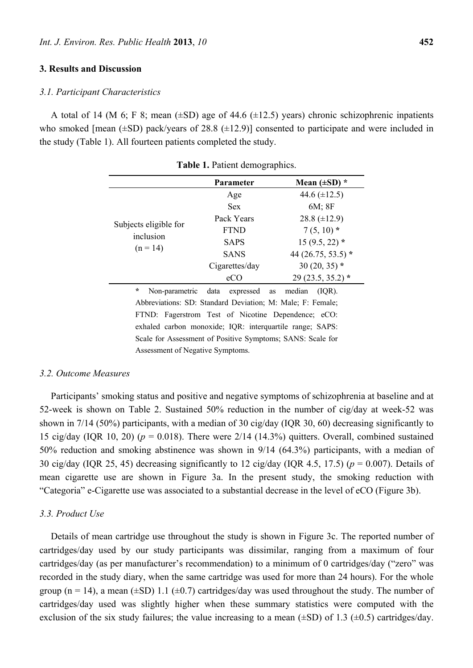#### **3. Results and Discussion**

#### *3.1. Participant Characteristics*

A total of 14 (M 6; F 8; mean  $(\pm SD)$  age of 44.6 ( $\pm 12.5$ ) years) chronic schizophrenic inpatients who smoked [mean  $(\pm SD)$  pack/years of 28.8  $(\pm 12.9)$ ] consented to participate and were included in the study (Table 1). All fourteen patients completed the study.

|                                    | <b>Parameter</b>  | Mean $(\pm SD)^*$    |
|------------------------------------|-------------------|----------------------|
|                                    | Age               | 44.6 $(\pm 12.5)$    |
|                                    | <b>Sex</b>        | $6M$ ; $8F$          |
|                                    | Pack Years        | 28.8 $(\pm 12.9)$    |
| Subjects eligible for<br>inclusion | <b>FTND</b>       | $7(5, 10)*$          |
|                                    | <b>SAPS</b>       | $15(9.5, 22)$ *      |
| $(n = 14)$                         | <b>SANS</b>       | 44 (26.75, 53.5) $*$ |
|                                    | Cigarettes/day    | $30(20, 35)$ *       |
|                                    | eCO               | $29(23.5, 35.2)$ *   |
| $\mathbf{A}$ and $\mathbf{A}$      | $\cdots$ $\cdots$ | $1'$ $(T \cap D)$    |

**Table 1.** Patient demographics.

Non-parametric data expressed as median (IQR). Abbreviations: SD: Standard Deviation; M: Male; F: Female; FTND: Fagerstrom Test of Nicotine Dependence; eCO: exhaled carbon monoxide; IQR: interquartile range; SAPS: Scale for Assessment of Positive Symptoms; SANS: Scale for Assessment of Negative Symptoms.

# *3.2. Outcome Measures*

Participants' smoking status and positive and negative symptoms of schizophrenia at baseline and at 52-week is shown on Table 2. Sustained 50% reduction in the number of cig/day at week-52 was shown in 7/14 (50%) participants, with a median of 30 cig/day (IQR 30, 60) decreasing significantly to 15 cig/day (IQR 10, 20) ( $p = 0.018$ ). There were 2/14 (14.3%) quitters. Overall, combined sustained 50% reduction and smoking abstinence was shown in 9/14 (64.3%) participants, with a median of 30 cig/day (IQR 25, 45) decreasing significantly to 12 cig/day (IQR 4.5, 17.5) (*p* = 0.007). Details of mean cigarette use are shown in Figure 3a. In the present study, the smoking reduction with "Categoria" e-Cigarette use was associated to a substantial decrease in the level of eCO (Figure 3b).

#### *3.3. Product Use*

Details of mean cartridge use throughout the study is shown in Figure 3c. The reported number of cartridges/day used by our study participants was dissimilar, ranging from a maximum of four cartridges/day (as per manufacturer's recommendation) to a minimum of 0 cartridges/day ("zero" was recorded in the study diary, when the same cartridge was used for more than 24 hours). For the whole group (n = 14), a mean ( $\pm$ SD) 1.1 ( $\pm$ 0.7) cartridges/day was used throughout the study. The number of cartridges/day used was slightly higher when these summary statistics were computed with the exclusion of the six study failures; the value increasing to a mean  $(\pm SD)$  of 1.3 ( $\pm 0.5$ ) cartridges/day.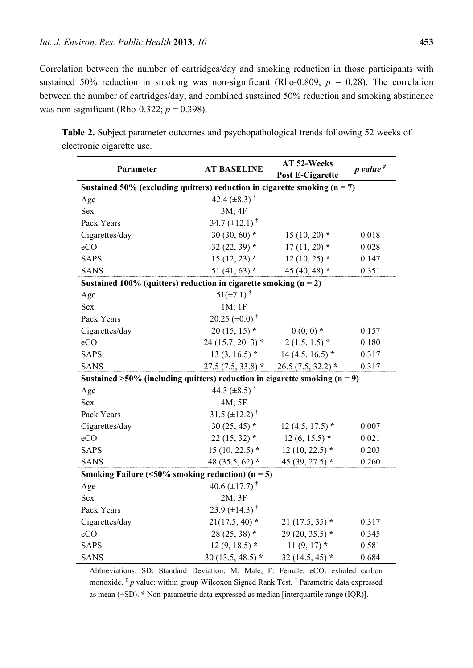Correlation between the number of cartridges/day and smoking reduction in those participants with sustained 50% reduction in smoking was non-significant (Rho-0.809;  $p = 0.28$ ). The correlation between the number of cartridges/day, and combined sustained 50% reduction and smoking abstinence was non-significant (Rho-0.322;  $p = 0.398$ ).

| Parameter                                                                     | <b>AT BASELINE</b>              | AT 52-Weeks             | $p$ value $\overline{f}$ |  |  |
|-------------------------------------------------------------------------------|---------------------------------|-------------------------|--------------------------|--|--|
|                                                                               |                                 | <b>Post E-Cigarette</b> |                          |  |  |
| Sustained 50% (excluding quitters) reduction in cigarette smoking $(n = 7)$   |                                 |                         |                          |  |  |
| Age                                                                           | 42.4 $(\pm 8.3)$ <sup>†</sup>   |                         |                          |  |  |
| <b>Sex</b>                                                                    | 3M; 4F                          |                         |                          |  |  |
| Pack Years                                                                    | 34.7 $(\pm 12.1)^{\dagger}$     |                         |                          |  |  |
| Cigarettes/day                                                                | 30 $(30, 60)$ *                 | $15(10, 20)$ *          | 0.018                    |  |  |
| eCO                                                                           | 32 $(22, 39)$ *                 | $17(11, 20)$ *          | 0.028                    |  |  |
| <b>SAPS</b>                                                                   | $15(12, 23)$ *                  | $12(10, 25)$ *          | 0.147                    |  |  |
| <b>SANS</b>                                                                   | 51 $(41, 63)$ *                 | 45 (40, 48) $*$         | 0.351                    |  |  |
| Sustained 100% (quitters) reduction in cigarette smoking $(n = 2)$            |                                 |                         |                          |  |  |
| Age                                                                           | $51(\pm 7.1)^{+}$               |                         |                          |  |  |
| <b>Sex</b>                                                                    | 1M; 1F                          |                         |                          |  |  |
| Pack Years                                                                    | 20.25 $(\pm 0.0)^{\dagger}$     |                         |                          |  |  |
| Cigarettes/day                                                                | $20(15, 15)$ *                  | $0(0, 0)$ *             | 0.157                    |  |  |
| eCO                                                                           | $24(15.7, 20.3)*$               | $2(1.5, 1.5)$ *         | 0.180                    |  |  |
| <b>SAPS</b>                                                                   | $13(3, 16.5)$ *                 | $14(4.5, 16.5)$ *       | 0.317                    |  |  |
| <b>SANS</b>                                                                   | $27.5(7.5, 33.8)*$              | $26.5(7.5, 32.2)*$      | 0.317                    |  |  |
| Sustained $>50\%$ (including quitters) reduction in cigarette smoking (n = 9) |                                 |                         |                          |  |  |
| Age                                                                           | 44.3 $(\pm 8.5)^{\dagger}$      |                         |                          |  |  |
| <b>Sex</b>                                                                    | 4M; 5F                          |                         |                          |  |  |
| Pack Years                                                                    | 31.5 $(\pm 12.2)^{\dagger}$     |                         |                          |  |  |
| Cigarettes/day                                                                | $30(25, 45)$ *                  | $12(4.5, 17.5)$ *       | 0.007                    |  |  |
| eCO                                                                           | $22(15, 32)$ *                  | $12(6, 15.5)$ *         | 0.021                    |  |  |
| <b>SAPS</b>                                                                   | $15(10, 22.5)$ *                | $12(10, 22.5)$ *        | 0.203                    |  |  |
| <b>SANS</b>                                                                   | 48 (35.5, 62) $*$               | 45 (39, 27.5) $*$       | 0.260                    |  |  |
| Smoking Failure (<50% smoking reduction) ( $n = 5$ )                          |                                 |                         |                          |  |  |
| Age                                                                           | 40.6 $(\pm 17.7)^{\dagger}$     |                         |                          |  |  |
| <b>Sex</b>                                                                    | 2M; 3F                          |                         |                          |  |  |
| Pack Years                                                                    | 23.9 ( $\pm$ 14.3) <sup>†</sup> |                         |                          |  |  |
| Cigarettes/day                                                                | $21(17.5, 40)$ *                | $21(17.5, 35)$ *        | 0.317                    |  |  |
| eCO                                                                           | $28(25, 38)$ *                  | 29 (20, 35.5) $*$       | 0.345                    |  |  |
| <b>SAPS</b>                                                                   | $12(9, 18.5)$ *                 | $11(9, 17)$ *<br>0.581  |                          |  |  |
| <b>SANS</b>                                                                   | 30 $(13.5, 48.5)$ *             | 32 $(14.5, 45)$ *       | 0.684                    |  |  |

**Table 2.** Subject parameter outcomes and psychopathological trends following 52 weeks of electronic cigarette use.

Abbreviations: SD: Standard Deviation; M: Male; F: Female; eCO: exhaled carbon monoxide. **‡** *p* value: within group Wilcoxon Signed Rank Test. **†** Parametric data expressed as mean (±SD). **\*** Non-parametric data expressed as median [interquartile range (IQR)].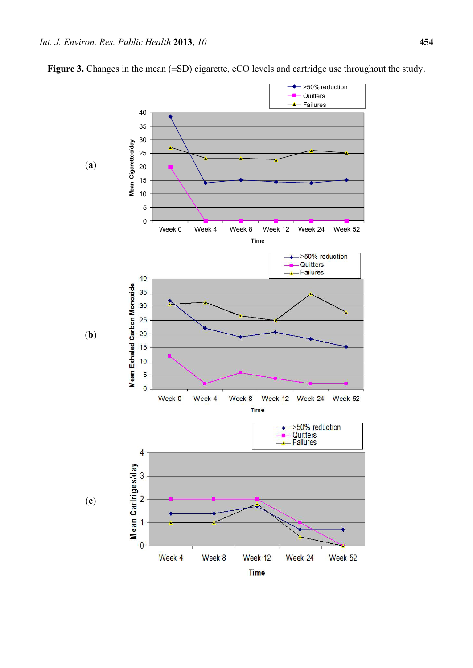

**Figure 3.** Changes in the mean ( $\pm$ SD) cigarette, eCO levels and cartridge use throughout the study.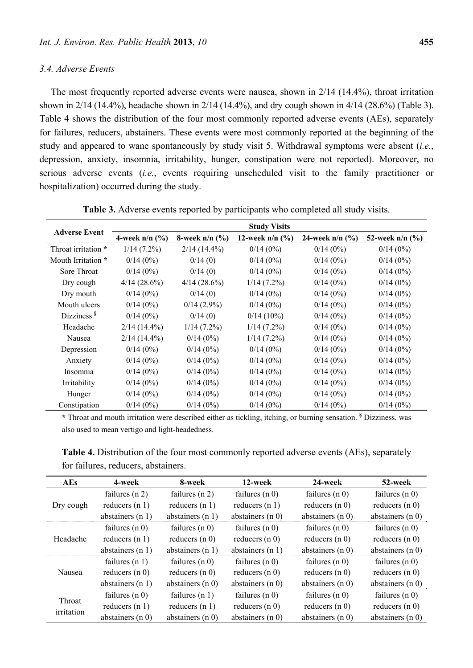# *3.4. Adverse Events*

The most frequently reported adverse events were nausea, shown in 2/14 (14.4%), throat irritation shown in 2/14 (14.4%), headache shown in 2/14 (14.4%), and dry cough shown in 4/14 (28.6%) (Table 3). Table 4 shows the distribution of the four most commonly reported adverse events (AEs), separately for failures, reducers, abstainers. These events were most commonly reported at the beginning of the study and appeared to wane spontaneously by study visit 5. Withdrawal symptoms were absent (*i.e.*, depression, anxiety, insomnia, irritability, hunger, constipation were not reported). Moreover, no serious adverse events (*i.e.*, events requiring unscheduled visit to the family practitioner or hospitalization) occurred during the study.

|                        | <b>Study Visits</b> |                  |                               |                               |                   |
|------------------------|---------------------|------------------|-------------------------------|-------------------------------|-------------------|
| <b>Adverse Event</b>   | 4-week $n/n$ (%)    | 8-week $n/n$ (%) | 12-week $n/n$ $(\frac{9}{6})$ | 24-week $n/n$ $(\frac{9}{6})$ | 52-week $n/n$ (%) |
| Throat irritation *    | 1/14(7.2%)          | $2/14(14.4\%)$   | 0/14(0%)                      | 0/14(0%)                      | 0/14(0%)          |
| Mouth Irritation *     | 0/14(0%)            | 0/14(0)          | $0/14(0\%)$                   | 0/14(0%)                      | 0/14(0%)          |
| Sore Throat            | $0/14(0\%)$         | 0/14(0)          | $0/14(0\%)$                   | $0/14(0\%)$                   | 0/14(0%)          |
| Dry cough              | 4/14(28.6%)         | 4/14(28.6%)      | $1/14$ (7.2%)                 | $0/14(0\%)$                   | $0/14(0\%)$       |
| Dry mouth              | $0/14(0\%)$         | 0/14(0)          | 0/14(0%)                      | $0/14(0\%)$                   | 0/14(0%)          |
| Mouth ulcers           | $0/14(0\%)$         | $0/14(2.9\%)$    | $0/14(0\%)$                   | 0/14(0%)                      | $0/14(0\%)$       |
| Dizziness <sup>§</sup> | 0/14(0%)            | 0/14(0)          | $0/14(10\%)$                  | 0/14(0%)                      | 0/14(0%)          |
| Headache               | $2/14(14.4\%)$      | 1/14(7.2%)       | 1/14(7.2%)                    | $0/14(0\%)$                   | $0/14(0\%)$       |
| Nausea                 | $2/14(14.4\%)$      | $0/14(0\%)$      | $1/14(7.2\%)$                 | $0/14(0\%)$                   | $0/14(0\%)$       |
| Depression             | 0/14(0%)            | 0/14(0%)         | $0/14(0\%)$                   | 0/14(0%)                      | 0/14(0%)          |
| Anxiety                | $0/14(0\%)$         | $0/14(0\%)$      | $0/14(0\%)$                   | $0/14(0\%)$                   | $0/14(0\%)$       |
| Insomnia               | $0/14(0\%)$         | $0/14(0\%)$      | $0/14(0\%)$                   | $0/14(0\%)$                   | $0/14(0\%)$       |
| Irritability           | 0/14(0%)            | 0/14(0%)         | 0/14(0%)                      | 0/14(0%)                      | $0/14(0\%)$       |
| Hunger                 | 0/14(0%)            | 0/14(0%)         | 0/14(0%)                      | 0/14(0%)                      | 0/14(0%)          |
| Constipation           | 0/14(0%)            | $0/14(0\%)$      | 0/14(0%)                      | $0/14(0\%)$                   | 0/14(0%)          |

**Table 3.** Adverse events reported by participants who completed all study visits.

**\*** Throat and mouth irritation were described either as tickling, itching, or burning sensation. **§** Dizziness, was also used to mean vertigo and light-headedness.

**Table 4.** Distribution of the four most commonly reported adverse events (AEs), separately for failures, reducers, abstainers.

| <b>AEs</b>           | 4-week             | 8-week             | 12-week            | 24-week            | 52-week            |
|----------------------|--------------------|--------------------|--------------------|--------------------|--------------------|
| Dry cough            | failures $(n 2)$   | failures $(n 2)$   | failures $(n 0)$   | failures $(n 0)$   | failures $(n 0)$   |
|                      | reducers $(n 1)$   | reducers $(n 1)$   | reducers $(n 1)$   | reducers $(n 0)$   | reducers $(n 0)$   |
|                      | abstainers $(n 1)$ | abstainers $(n 1)$ | abstainers $(n 0)$ | abstainers $(n 0)$ | abstainers $(n 0)$ |
| Headache             | failures $(n 0)$   | failures $(n 0)$   | failures $(n 0)$   | failures $(n 0)$   | failures $(n 0)$   |
|                      | reducers $(n 1)$   | reducers $(n 0)$   | reducers $(n 0)$   | reducers $(n 0)$   | reducers $(n 0)$   |
|                      | abstainers $(n 1)$ | abstainers $(n 1)$ | abstainers $(n 1)$ | abstainers $(n 0)$ | abstainers $(n 0)$ |
| Nausea               | failures $(n 1)$   | failures $(n0)$    | failures $(n 0)$   | failures $(n 0)$   | failures $(n 0)$   |
|                      | reducers $(n 0)$   | reducers $(n 0)$   | reducers $(n 0)$   | reducers $(n 0)$   | reducers $(n 0)$   |
|                      | abstainers $(n 1)$ | abstainers $(n 0)$ | abstainers $(n 0)$ | abstainers $(n0)$  | abstainers $(n 0)$ |
| Throat<br>irritation | failures $(n 0)$   | failures $(n 1)$   | failures $(n0)$    | failures $(n 0)$   | failures $(n 0)$   |
|                      | reducers $(n 1)$   | reducers $(n 1)$   | reducers $(n 0)$   | reducers $(n 0)$   | reducers $(n 0)$   |
|                      | abstainers $(n0)$  | abstainers $(n 0)$ | abstainers $(n 0)$ | abstainers $(n 0)$ | abstainers $(n 0)$ |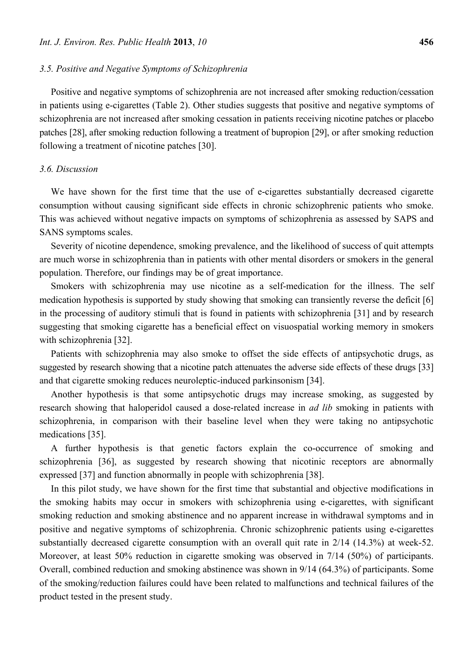#### *3.5. Positive and Negative Symptoms of Schizophrenia*

Positive and negative symptoms of schizophrenia are not increased after smoking reduction/cessation in patients using e-cigarettes (Table 2). Other studies suggests that positive and negative symptoms of schizophrenia are not increased after smoking cessation in patients receiving nicotine patches or placebo patches [28], after smoking reduction following a treatment of bupropion [29], or after smoking reduction following a treatment of nicotine patches [30].

# *3.6. Discussion*

We have shown for the first time that the use of e-cigarettes substantially decreased cigarette consumption without causing significant side effects in chronic schizophrenic patients who smoke. This was achieved without negative impacts on symptoms of schizophrenia as assessed by SAPS and SANS symptoms scales.

Severity of nicotine dependence, smoking prevalence, and the likelihood of success of quit attempts are much worse in schizophrenia than in patients with other mental disorders or smokers in the general population. Therefore, our findings may be of great importance.

Smokers with schizophrenia may use nicotine as a self-medication for the illness. The self medication hypothesis is supported by study showing that smoking can transiently reverse the deficit [6] in the processing of auditory stimuli that is found in patients with schizophrenia [31] and by research suggesting that smoking cigarette has a beneficial effect on visuospatial working memory in smokers with schizophrenia [32].

Patients with schizophrenia may also smoke to offset the side effects of antipsychotic drugs, as suggested by research showing that a nicotine patch attenuates the adverse side effects of these drugs [33] and that cigarette smoking reduces neuroleptic-induced parkinsonism [34].

Another hypothesis is that some antipsychotic drugs may increase smoking, as suggested by research showing that haloperidol caused a dose-related increase in *ad lib* smoking in patients with schizophrenia, in comparison with their baseline level when they were taking no antipsychotic medications [35].

A further hypothesis is that genetic factors explain the co-occurrence of smoking and schizophrenia [36], as suggested by research showing that nicotinic receptors are abnormally expressed [37] and function abnormally in people with schizophrenia [38].

In this pilot study, we have shown for the first time that substantial and objective modifications in the smoking habits may occur in smokers with schizophrenia using e-cigarettes, with significant smoking reduction and smoking abstinence and no apparent increase in withdrawal symptoms and in positive and negative symptoms of schizophrenia. Chronic schizophrenic patients using e-cigarettes substantially decreased cigarette consumption with an overall quit rate in 2/14 (14.3%) at week-52. Moreover, at least 50% reduction in cigarette smoking was observed in 7/14 (50%) of participants. Overall, combined reduction and smoking abstinence was shown in 9/14 (64.3%) of participants. Some of the smoking/reduction failures could have been related to malfunctions and technical failures of the product tested in the present study.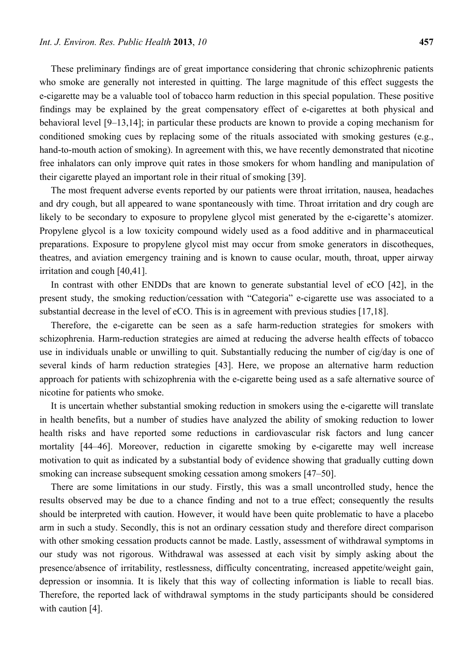These preliminary findings are of great importance considering that chronic schizophrenic patients who smoke are generally not interested in quitting. The large magnitude of this effect suggests the e-cigarette may be a valuable tool of tobacco harm reduction in this special population. These positive findings may be explained by the great compensatory effect of e-cigarettes at both physical and behavioral level [9–13,14]; in particular these products are known to provide a coping mechanism for conditioned smoking cues by replacing some of the rituals associated with smoking gestures (e.g., hand-to-mouth action of smoking). In agreement with this, we have recently demonstrated that nicotine free inhalators can only improve quit rates in those smokers for whom handling and manipulation of their cigarette played an important role in their ritual of smoking [39].

The most frequent adverse events reported by our patients were throat irritation, nausea, headaches and dry cough, but all appeared to wane spontaneously with time. Throat irritation and dry cough are likely to be secondary to exposure to propylene glycol mist generated by the e-cigarette's atomizer. Propylene glycol is a low toxicity compound widely used as a food additive and in pharmaceutical preparations. Exposure to propylene glycol mist may occur from smoke generators in discotheques, theatres, and aviation emergency training and is known to cause ocular, mouth, throat, upper airway irritation and cough [40,41].

In contrast with other ENDDs that are known to generate substantial level of eCO [42], in the present study, the smoking reduction/cessation with "Categoria" e-cigarette use was associated to a substantial decrease in the level of eCO. This is in agreement with previous studies [17,18].

Therefore, the e-cigarette can be seen as a safe harm-reduction strategies for smokers with schizophrenia. Harm-reduction strategies are aimed at reducing the adverse health effects of tobacco use in individuals unable or unwilling to quit. Substantially reducing the number of cig/day is one of several kinds of harm reduction strategies [43]. Here, we propose an alternative harm reduction approach for patients with schizophrenia with the e-cigarette being used as a safe alternative source of nicotine for patients who smoke.

It is uncertain whether substantial smoking reduction in smokers using the e-cigarette will translate in health benefits, but a number of studies have analyzed the ability of smoking reduction to lower health risks and have reported some reductions in cardiovascular risk factors and lung cancer mortality [44–46]. Moreover, reduction in cigarette smoking by e-cigarette may well increase motivation to quit as indicated by a substantial body of evidence showing that gradually cutting down smoking can increase subsequent smoking cessation among smokers [47–50].

There are some limitations in our study. Firstly, this was a small uncontrolled study, hence the results observed may be due to a chance finding and not to a true effect; consequently the results should be interpreted with caution. However, it would have been quite problematic to have a placebo arm in such a study. Secondly, this is not an ordinary cessation study and therefore direct comparison with other smoking cessation products cannot be made. Lastly, assessment of withdrawal symptoms in our study was not rigorous. Withdrawal was assessed at each visit by simply asking about the presence/absence of irritability, restlessness, difficulty concentrating, increased appetite/weight gain, depression or insomnia. It is likely that this way of collecting information is liable to recall bias. Therefore, the reported lack of withdrawal symptoms in the study participants should be considered with caution [4].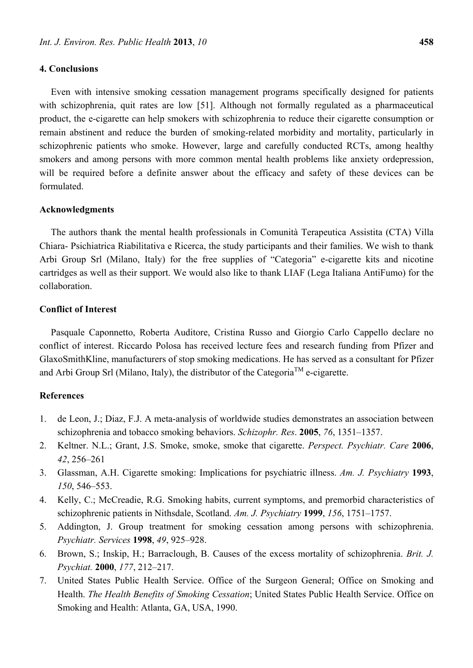# **4. Conclusions**

Even with intensive smoking cessation management programs specifically designed for patients with schizophrenia, quit rates are low [51]. Although not formally regulated as a pharmaceutical product, the e-cigarette can help smokers with schizophrenia to reduce their cigarette consumption or remain abstinent and reduce the burden of smoking-related morbidity and mortality, particularly in schizophrenic patients who smoke. However, large and carefully conducted RCTs, among healthy smokers and among persons with more common mental health problems like anxiety ordepression, will be required before a definite answer about the efficacy and safety of these devices can be formulated.

#### **Acknowledgments**

The authors thank the mental health professionals in Comunità Terapeutica Assistita (CTA) Villa Chiara- Psichiatrica Riabilitativa e Ricerca, the study participants and their families. We wish to thank Arbi Group Srl (Milano, Italy) for the free supplies of "Categoria" e-cigarette kits and nicotine cartridges as well as their support. We would also like to thank LIAF (Lega Italiana AntiFumo) for the collaboration.

# **Conflict of Interest**

Pasquale Caponnetto, Roberta Auditore, Cristina Russo and Giorgio Carlo Cappello declare no conflict of interest. Riccardo Polosa has received lecture fees and research funding from Pfizer and GlaxoSmithKline, manufacturers of stop smoking medications. He has served as a consultant for Pfizer and Arbi Group Srl (Milano, Italy), the distributor of the Categoria<sup>TM</sup> e-cigarette.

# **References**

- 1. de Leon, J.; Diaz, F.J. A meta-analysis of worldwide studies demonstrates an association between schizophrenia and tobacco smoking behaviors. *Schizophr. Res*. **2005**, *76*, 1351–1357.
- 2. Keltner. N.L.; Grant, J.S. Smoke, smoke, smoke that cigarette. *Perspect. Psychiatr. Care* **2006**, *42*, 256–261
- 3. Glassman, A.H. Cigarette smoking: Implications for psychiatric illness. *Am. J. Psychiatry* **1993**, *150*, 546–553.
- 4. Kelly, C.; McCreadie, R.G. Smoking habits, current symptoms, and premorbid characteristics of schizophrenic patients in Nithsdale, Scotland. *Am. J. Psychiatry* **1999**, *156*, 1751–1757.
- 5. Addington, J. Group treatment for smoking cessation among persons with schizophrenia. *Psychiatr. Services* **1998**, *49*, 925–928.
- 6. Brown, S.; Inskip, H.; Barraclough, B. Causes of the excess mortality of schizophrenia. *Brit. J. Psychiat.* **2000**, *177*, 212–217.
- 7. United States Public Health Service. Office of the Surgeon General; Office on Smoking and Health. *The Health Benefits of Smoking Cessation*; United States Public Health Service. Office on Smoking and Health: Atlanta, GA, USA, 1990.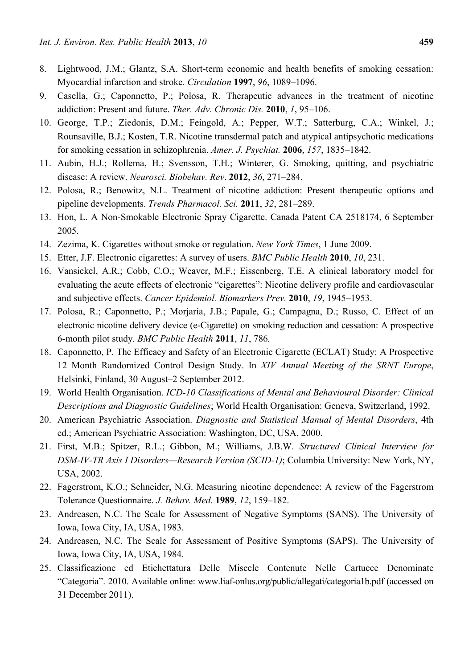- 8. Lightwood, J.M.; Glantz, S.A. Short-term economic and health benefits of smoking cessation: Myocardial infarction and stroke. *Circulation* **1997**, *96*, 1089–1096.
- 9. Casella, G.; Caponnetto, P.; Polosa, R. Therapeutic advances in the treatment of nicotine addiction: Present and future. *Ther. Adv. Chronic Dis.* **2010**, *1*, 95–106.
- 10. George, T.P.; Ziedonis, D.M.; Feingold, A.; Pepper, W.T.; Satterburg, C.A.; Winkel, J.; Rounsaville, B.J.; Kosten, T.R. Nicotine transdermal patch and atypical antipsychotic medications for smoking cessation in schizophrenia. *Amer. J. Psychiat.* **2006**, *157*, 1835–1842.
- 11. Aubin, H.J.; Rollema, H.; Svensson, T.H.; Winterer, G. Smoking, quitting, and psychiatric disease: A review. *Neurosci. Biobehav. Rev*. **2012**, *36*, 271–284.
- 12. Polosa, R.; Benowitz, N.L. Treatment of nicotine addiction: Present therapeutic options and pipeline developments. *Trends Pharmacol. Sci.* **2011**, *32*, 281–289.
- 13. Hon, L. A Non-Smokable Electronic Spray Cigarette. Canada Patent CA 2518174, 6 September 2005.
- 14. Zezima, K. Cigarettes without smoke or regulation. *New York Times*, 1 June 2009.
- 15. Etter, J.F. Electronic cigarettes: A survey of users. *BMC Public Health* **2010**, *10*, 231.
- 16. Vansickel, A.R.; Cobb, C.O.; Weaver, M.F.; Eissenberg, T.E. A clinical laboratory model for evaluating the acute effects of electronic "cigarettes": Nicotine delivery profile and cardiovascular and subjective effects. *Cancer Epidemiol. Biomarkers Prev.* **2010**, *19*, 1945–1953.
- 17. Polosa, R.; Caponnetto, P.; Morjaria, J.B.; Papale, G.; Campagna, D.; Russo, C. Effect of an electronic nicotine delivery device (e-Cigarette) on smoking reduction and cessation: A prospective 6-month pilot study*. BMC Public Health* **2011**, *11*, 786*.*
- 18. Caponnetto, P. The Efficacy and Safety of an Electronic Cigarette (ECLAT) Study: A Prospective 12 Month Randomized Control Design Study. In *XIV Annual Meeting of the SRNT Europe*, Helsinki, Finland, 30 August–2 September 2012.
- 19. World Health Organisation. *ICD-10 Classifications of Mental and Behavioural Disorder: Clinical Descriptions and Diagnostic Guidelines*; World Health Organisation: Geneva, Switzerland, 1992.
- 20. American Psychiatric Association. *Diagnostic and Statistical Manual of Mental Disorders*, 4th ed.; American Psychiatric Association: Washington, DC, USA, 2000.
- 21. First, M.B.; Spitzer, R.L.; Gibbon, M.; Williams, J.B.W. *Structured Clinical Interview for DSM-IV-TR Axis I Disorders—Research Version (SCID-1)*; Columbia University: New York, NY, USA, 2002.
- 22. Fagerstrom, K.O.; Schneider, N.G. Measuring nicotine dependence: A review of the Fagerstrom Tolerance Questionnaire. *J. Behav. Med.* **1989**, *12*, 159–182.
- 23. Andreasen, N.C. The Scale for Assessment of Negative Symptoms (SANS). The University of Iowa, Iowa City, IA, USA, 1983.
- 24. Andreasen, N.C. The Scale for Assessment of Positive Symptoms (SAPS). The University of Iowa, Iowa City, IA, USA, 1984.
- 25. Classificazione ed Etichettatura Delle Miscele Contenute Nelle Cartucce Denominate "Categoria". 2010. Available online: www.liaf-onlus.org/public/allegati/categoria1b.pdf (accessed on 31 December 2011).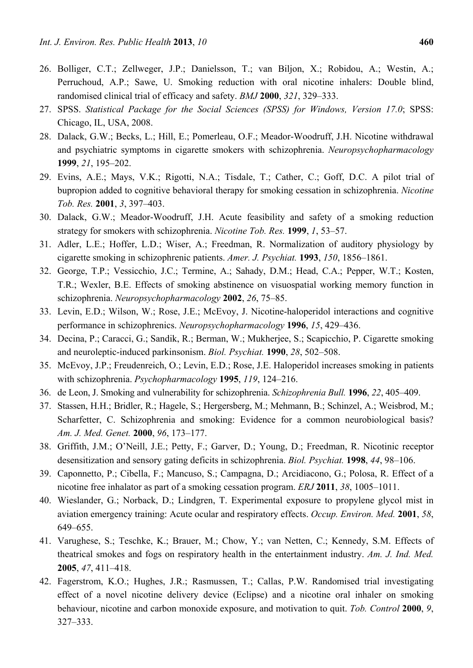- 26. Bolliger, C.T.; Zellweger, J.P.; Danielsson, T.; van Biljon, X.; Robidou, A.; Westin, A.; Perruchoud, A.P.; Sawe, U. Smoking reduction with oral nicotine inhalers: Double blind, randomised clinical trial of efficacy and safety. *BMJ* **2000**, *321*, 329–333.
- 27. SPSS. *Statistical Package for the Social Sciences (SPSS) for Windows, Version 17.0*; SPSS: Chicago, IL, USA, 2008.
- 28. Dalack, G.W.; Becks, L.; Hill, E.; Pomerleau, O.F.; Meador-Woodruff, J.H. Nicotine withdrawal and psychiatric symptoms in cigarette smokers with schizophrenia. *Neuropsychopharmacology*  **1999**, *21*, 195–202.
- 29. Evins, A.E.; Mays, V.K.; Rigotti, N.A.; Tisdale, T.; Cather, C.; Goff, D.C. A pilot trial of bupropion added to cognitive behavioral therapy for smoking cessation in schizophrenia. *Nicotine Tob. Res.* **2001**, *3*, 397–403.
- 30. Dalack, G.W.; Meador-Woodruff, J.H. Acute feasibility and safety of a smoking reduction strategy for smokers with schizophrenia. *Nicotine Tob. Res.* **1999**, *1*, 53–57.
- 31. Adler, L.E.; Hoffer, L.D.; Wiser, A.; Freedman, R. Normalization of auditory physiology by cigarette smoking in schizophrenic patients. *Amer. J. Psychiat.* **1993**, *150*, 1856–1861.
- 32. George, T.P.; Vessicchio, J.C.; Termine, A.; Sahady, D.M.; Head, C.A.; Pepper, W.T.; Kosten, T.R.; Wexler, B.E. Effects of smoking abstinence on visuospatial working memory function in schizophrenia. *Neuropsychopharmacology* **2002**, *26*, 75–85.
- 33. Levin, E.D.; Wilson, W.; Rose, J.E.; McEvoy, J. Nicotine-haloperidol interactions and cognitive performance in schizophrenics. *Neuropsychopharmacology* **1996**, *15*, 429–436.
- 34. Decina, P.; Caracci, G.; Sandik, R.; Berman, W.; Mukherjee, S.; Scapicchio, P. Cigarette smoking and neuroleptic-induced parkinsonism. *Biol. Psychiat.* **1990**, *28*, 502–508.
- 35. McEvoy, J.P.; Freudenreich, O.; Levin, E.D.; Rose, J.E. Haloperidol increases smoking in patients with schizophrenia. *Psychopharmacology* **1995**, *119*, 124–216.
- 36. de Leon, J. Smoking and vulnerability for schizophrenia. *Schizophrenia Bull.* **1996**, *22*, 405–409.
- 37. Stassen, H.H.; Bridler, R.; Hagele, S.; Hergersberg, M.; Mehmann, B.; Schinzel, A.; Weisbrod, M.; Scharfetter, C. Schizophrenia and smoking: Evidence for a common neurobiological basis? *Am. J. Med. Genet.* **2000**, *96*, 173–177.
- 38. Griffith, J.M.; O'Neill, J.E.; Petty, F.; Garver, D.; Young, D.; Freedman, R. Nicotinic receptor desensitization and sensory gating deficits in schizophrenia. *Biol. Psychiat.* **1998**, *44*, 98–106.
- 39. Caponnetto, P.; Cibella, F.; Mancuso, S.; Campagna, D.; Arcidiacono, G.; Polosa, R. Effect of a nicotine free inhalator as part of a smoking cessation program. *ERJ* **2011**, *38*, 1005–1011.
- 40. Wieslander, G.; Norback, D.; Lindgren, T. Experimental exposure to propylene glycol mist in aviation emergency training: Acute ocular and respiratory effects. *Occup. Environ. Med.* **2001**, *58*, 649–655.
- 41. Varughese, S.; Teschke, K.; Brauer, M.; Chow, Y.; van Netten, C.; Kennedy, S.M. Effects of theatrical smokes and fogs on respiratory health in the entertainment industry. *Am. J. Ind. Med.*  **2005**, *47*, 411–418.
- 42. Fagerstrom, K.O.; Hughes, J.R.; Rasmussen, T.; Callas, P.W. Randomised trial investigating effect of a novel nicotine delivery device (Eclipse) and a nicotine oral inhaler on smoking behaviour, nicotine and carbon monoxide exposure, and motivation to quit. *Tob. Control* **2000**, *9*, 327–333.